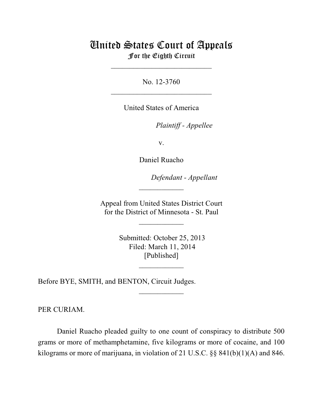# United States Court of Appeals For the Eighth Circuit

\_\_\_\_\_\_\_\_\_\_\_\_\_\_\_\_\_\_\_\_\_\_\_\_\_\_\_

No. 12-3760  $\mathcal{L}_\text{max}$  , which is a set of the set of the set of the set of the set of the set of the set of the set of the set of the set of the set of the set of the set of the set of the set of the set of the set of the set of

United States of America

Plaintiff - Appellee

v.

Daniel Ruacho

lllllllllllllllllllll *Defendant - Appellant*

 Appeal from United States District Court for the District of Minnesota - St. Paul

 $\overline{\phantom{a}}$  , where  $\overline{\phantom{a}}$ 

 $\frac{1}{2}$ 

 Submitted: October 25, 2013 Filed: March 11, 2014 [Published]

 $\frac{1}{2}$ 

 $\frac{1}{2}$ 

Before BYE, SMITH, and BENTON, Circuit Judges.

PER CURIAM.

Daniel Ruacho pleaded guilty to one count of conspiracy to distribute 500 grams or more of methamphetamine, five kilograms or more of cocaine, and 100 kilograms or more of marijuana, in violation of 21 U.S.C. §§ 841(b)(1)(A) and 846.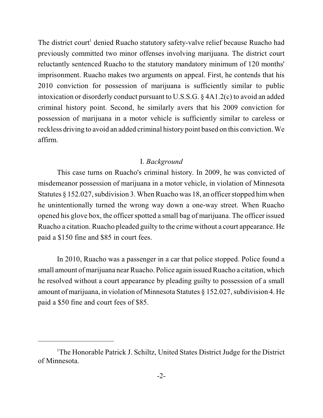The district court<sup>1</sup> denied Ruacho statutory safety-valve relief because Ruacho had previously committed two minor offenses involving marijuana. The district court reluctantly sentenced Ruacho to the statutory mandatory minimum of 120 months' imprisonment. Ruacho makes two arguments on appeal. First, he contends that his 2010 conviction for possession of marijuana is sufficiently similar to public intoxication or disorderly conduct pursuant to U.S.S.G. § 4A1.2(c) to avoid an added criminal history point. Second, he similarly avers that his 2009 conviction for possession of marijuana in a motor vehicle is sufficiently similar to careless or reckless driving to avoid an added criminal history point based on this conviction. We affirm.

#### I. *Background*

This case turns on Ruacho's criminal history. In 2009, he was convicted of misdemeanor possession of marijuana in a motor vehicle, in violation of Minnesota Statutes § 152.027, subdivision 3. When Ruacho was 18, an officer stopped himwhen he unintentionally turned the wrong way down a one-way street. When Ruacho opened his glove box, the officer spotted a small bag of marijuana. The officer issued Ruacho a citation. Ruacho pleaded guilty to the crime without a court appearance. He paid a \$150 fine and \$85 in court fees.

In 2010, Ruacho was a passenger in a car that police stopped. Police found a small amount of marijuana near Ruacho. Police again issued Ruacho a citation, which he resolved without a court appearance by pleading guilty to possession of a small amount of marijuana, in violation of Minnesota Statutes § 152.027, subdivision 4. He paid a \$50 fine and court fees of \$85.

<sup>&</sup>lt;sup>1</sup>The Honorable Patrick J. Schiltz, United States District Judge for the District of Minnesota.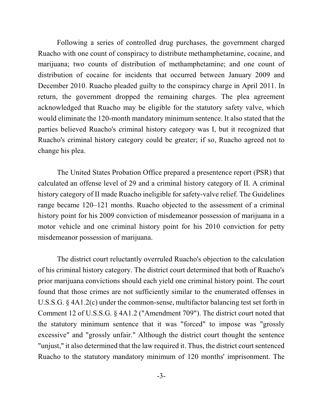Following a series of controlled drug purchases, the government charged Ruacho with one count of conspiracy to distribute methamphetamine, cocaine, and marijuana; two counts of distribution of methamphetamine; and one count of distribution of cocaine for incidents that occurred between January 2009 and December 2010. Ruacho pleaded guilty to the conspiracy charge in April 2011. In return, the government dropped the remaining charges. The plea agreement acknowledged that Ruacho may be eligible for the statutory safety valve, which would eliminate the 120-month mandatory minimum sentence. It also stated that the parties believed Ruacho's criminal history category was I, but it recognized that Ruacho's criminal history category could be greater; if so, Ruacho agreed not to change his plea.

The United States Probation Office prepared a presentence report (PSR) that calculated an offense level of 29 and a criminal history category of II. A criminal history category of II made Ruacho ineligible for safety-valve relief. The Guidelines range became 120–121 months. Ruacho objected to the assessment of a criminal history point for his 2009 conviction of misdemeanor possession of marijuana in a motor vehicle and one criminal history point for his 2010 conviction for petty misdemeanor possession of marijuana.

The district court reluctantly overruled Ruacho's objection to the calculation of his criminal history category. The district court determined that both of Ruacho's prior marijuana convictions should each yield one criminal history point. The court found that those crimes are not sufficiently similar to the enumerated offenses in U.S.S.G. § 4A1.2(c) under the common-sense, multifactor balancing test set forth in Comment 12 of U.S.S.G. § 4A1.2 ("Amendment 709"). The district court noted that the statutory minimum sentence that it was "forced" to impose was "grossly excessive" and "grossly unfair." Although the district court thought the sentence "unjust," it also determined that the law required it. Thus, the district court sentenced Ruacho to the statutory mandatory minimum of 120 months' imprisonment. The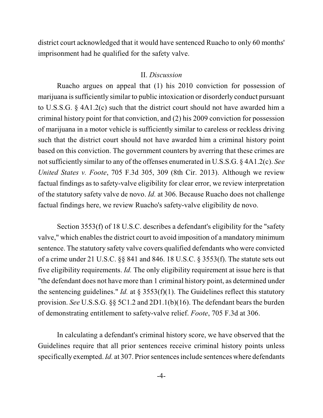district court acknowledged that it would have sentenced Ruacho to only 60 months' imprisonment had he qualified for the safety valve.

#### II. *Discussion*

Ruacho argues on appeal that (1) his 2010 conviction for possession of marijuana is sufficiently similar to public intoxication or disorderly conduct pursuant to U.S.S.G. § 4A1.2(c) such that the district court should not have awarded him a criminal history point for that conviction, and (2) his 2009 conviction for possession of marijuana in a motor vehicle is sufficiently similar to careless or reckless driving such that the district court should not have awarded him a criminal history point based on this conviction. The government counters by averring that these crimes are not sufficiently similar to any of the offenses enumerated in U.S.S.G. § 4A1.2(c). *See United States v. Foote*, 705 F.3d 305, 309 (8th Cir. 2013). Although we review factual findings as to safety-valve eligibility for clear error, we review interpretation of the statutory safety valve de novo. *Id.* at 306. Because Ruacho does not challenge factual findings here, we review Ruacho's safety-valve eligibility de novo.

Section 3553(f) of 18 U.S.C. describes a defendant's eligibility for the "safety valve," which enables the district court to avoid imposition of a mandatory minimum sentence. The statutory safety valve covers qualified defendants who were convicted of a crime under 21 U.S.C. §§ 841 and 846. 18 U.S.C. § 3553(f). The statute sets out five eligibility requirements. *Id.* The only eligibility requirement at issue here is that "the defendant does not have more than 1 criminal history point, as determined under the sentencing guidelines." *Id.* at § 3553(f)(1). The Guidelines reflect this statutory provision. *See* U.S.S.G. §§ 5C1.2 and 2D1.1(b)(16). The defendant bears the burden of demonstrating entitlement to safety-valve relief. *Foote*, 705 F.3d at 306.

In calculating a defendant's criminal history score, we have observed that the Guidelines require that all prior sentences receive criminal history points unless specifically exempted. *Id.* at 307. Prior sentences include sentences where defendants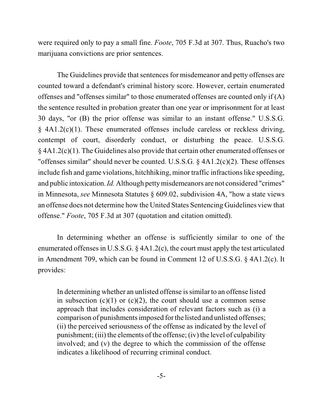were required only to pay a small fine. *Foote*, 705 F.3d at 307. Thus, Ruacho's two marijuana convictions are prior sentences.

The Guidelines provide that sentences for misdemeanor and petty offenses are counted toward a defendant's criminal history score. However, certain enumerated offenses and "offenses similar" to those enumerated offenses are counted only if (A) the sentence resulted in probation greater than one year or imprisonment for at least 30 days, "or (B) the prior offense was similar to an instant offense." U.S.S.G. § 4A1.2(c)(1). These enumerated offenses include careless or reckless driving, contempt of court, disorderly conduct, or disturbing the peace. U.S.S.G. § 4A1.2(c)(1). The Guidelines also provide that certain other enumerated offenses or "offenses similar" should never be counted. U.S.S.G. § 4A1.2(c)(2). These offenses include fish and game violations, hitchhiking, minor traffic infractions like speeding, and public intoxication. *Id.* Although petty misdemeanors are not considered "crimes" in Minnesota, *see* Minnesota Statutes § 609.02, subdivision 4A, "how a state views an offense does not determine how the United States Sentencing Guidelines view that offense." *Foote*, 705 F.3d at 307 (quotation and citation omitted).

In determining whether an offense is sufficiently similar to one of the enumerated offenses in U.S.S.G. § 4A1.2(c), the court must apply the test articulated in Amendment 709, which can be found in Comment 12 of U.S.S.G. § 4A1.2(c). It provides:

In determining whether an unlisted offense issimilar to an offense listed in subsection  $(c)(1)$  or  $(c)(2)$ , the court should use a common sense approach that includes consideration of relevant factors such as (i) a comparison of punishments imposed for the listed and unlisted offenses; (ii) the perceived seriousness of the offense as indicated by the level of punishment; (iii) the elements of the offense; (iv) the level of culpability involved; and (v) the degree to which the commission of the offense indicates a likelihood of recurring criminal conduct.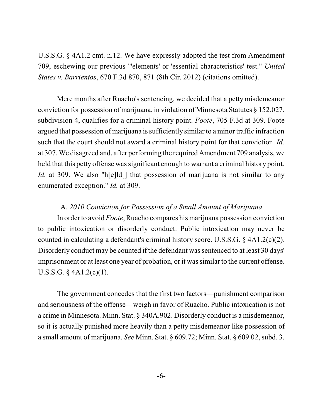U.S.S.G. § 4A1.2 cmt. n.12. We have expressly adopted the test from Amendment 709, eschewing our previous "'elements' or 'essential characteristics' test." *United States v. Barrientos*, 670 F.3d 870, 871 (8th Cir. 2012) (citations omitted).

Mere months after Ruacho's sentencing, we decided that a petty misdemeanor conviction for possession of marijuana, in violation of Minnesota Statutes § 152.027, subdivision 4, qualifies for a criminal history point. *Foote*, 705 F.3d at 309. Foote argued that possession of marijuana is sufficiently similar to a minor traffic infraction such that the court should not award a criminal history point for that conviction. *Id.* at 307. We disagreed and, after performing the required Amendment 709 analysis, we held that this petty offense was significant enough to warrant a criminal history point. *Id.* at 309. We also "h[e]ld[] that possession of marijuana is not similar to any enumerated exception." *Id.* at 309.

#### A. *2010 Conviction for Possession of a Small Amount of Marijuana*

In order to avoid *Foote*, Ruacho compares his marijuana possession conviction to public intoxication or disorderly conduct. Public intoxication may never be counted in calculating a defendant's criminal history score. U.S.S.G. § 4A1.2(c)(2). Disorderly conduct may be counted if the defendant was sentenced to at least 30 days' imprisonment or at least one year of probation, or it was similar to the current offense. U.S.S.G. § 4A1.2(c)(1).

The government concedes that the first two factors—punishment comparison and seriousness of the offense—weigh in favor of Ruacho. Public intoxication is not a crime in Minnesota. Minn. Stat. § 340A.902. Disorderly conduct is a misdemeanor, so it is actually punished more heavily than a petty misdemeanor like possession of a small amount of marijuana. *See* Minn. Stat. § 609.72; Minn. Stat. § 609.02, subd. 3.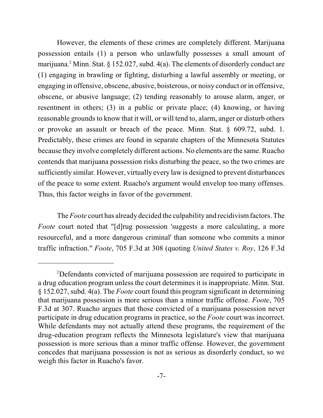However, the elements of these crimes are completely different. Marijuana possession entails (1) a person who unlawfully possesses a small amount of marijuana.<sup>2</sup> Minn. Stat. § 152.027, subd. 4(a). The elements of disorderly conduct are (1) engaging in brawling or fighting, disturbing a lawful assembly or meeting, or engaging in offensive, obscene, abusive, boisterous, or noisy conduct or in offensive, obscene, or abusive language; (2) tending reasonably to arouse alarm, anger, or resentment in others; (3) in a public or private place; (4) knowing, or having reasonable grounds to know that it will, or will tend to, alarm, anger or disturb others or provoke an assault or breach of the peace. Minn. Stat. § 609.72, subd. 1. Predictably, these crimes are found in separate chapters of the Minnesota Statutes because they involve completely different actions. No elements are the same. Ruacho contends that marijuana possession risks disturbing the peace, so the two crimes are sufficiently similar. However, virtually every law is designed to prevent disturbances of the peace to some extent. Ruacho's argument would envelop too many offenses. Thus, this factor weighs in favor of the government.

The *Foote* court has already decided the culpability and recidivism factors. The *Foote* court noted that "[d]rug possession 'suggests a more calculating, a more resourceful, and a more dangerous criminal' than someone who commits a minor traffic infraction." *Foote*, 705 F.3d at 308 (quoting *United States v. Roy*, 126 F.3d

Defendants convicted of marijuana possession are required to participate in <sup>2</sup> a drug education program unless the court determines it is inappropriate. Minn. Stat. § 152.027, subd. 4(a). The *Foote* court found this program significant in determining that marijuana possession is more serious than a minor traffic offense. *Foote*, 705 F.3d at 307. Ruacho argues that those convicted of a marijuana possession never participate in drug education programs in practice, so the *Foote* court was incorrect. While defendants may not actually attend these programs, the requirement of the drug-education program reflects the Minnesota legislature's view that marijuana possession is more serious than a minor traffic offense. However, the government concedes that marijuana possession is not as serious as disorderly conduct, so we weigh this factor in Ruacho's favor.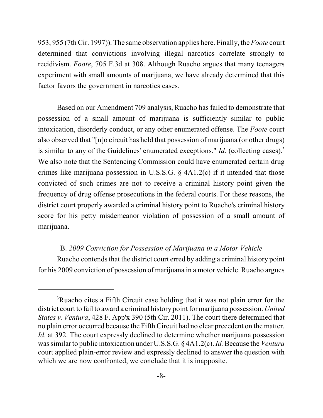953, 955 (7th Cir. 1997)). The same observation applies here. Finally, the *Foote* court determined that convictions involving illegal narcotics correlate strongly to recidivism. *Foote*, 705 F.3d at 308. Although Ruacho argues that many teenagers experiment with small amounts of marijuana, we have already determined that this factor favors the government in narcotics cases.

Based on our Amendment 709 analysis, Ruacho has failed to demonstrate that possession of a small amount of marijuana is sufficiently similar to public intoxication, disorderly conduct, or any other enumerated offense. The *Foote* court also observed that "[n]o circuit has held that possession of marijuana (or other drugs) is similar to any of the Guidelines' enumerated exceptions." *Id.* (collecting cases).<sup>3</sup> We also note that the Sentencing Commission could have enumerated certain drug crimes like marijuana possession in U.S.S.G. § 4A1.2(c) if it intended that those convicted of such crimes are not to receive a criminal history point given the frequency of drug offense prosecutions in the federal courts. For these reasons, the district court properly awarded a criminal history point to Ruacho's criminal history score for his petty misdemeanor violation of possession of a small amount of marijuana.

## B. *2009 Conviction for Possession of Marijuana in a Motor Vehicle*

Ruacho contends that the district court erred by adding a criminal history point for his 2009 conviction of possession of marijuana in a motor vehicle. Ruacho argues

<sup>&</sup>lt;sup>3</sup>Ruacho cites a Fifth Circuit case holding that it was not plain error for the district court to fail to award a criminal history point for marijuana possession. *United States v. Ventura*, 428 F. App'x 390 (5th Cir. 2011). The court there determined that no plain error occurred because the Fifth Circuit had no clear precedent on the matter. *Id.* at 392. The court expressly declined to determine whether marijuana possession wassimilar to public intoxication under U.S.S.G. § 4A1.2(c). *Id.*Because the *Ventura* court applied plain-error review and expressly declined to answer the question with which we are now confronted, we conclude that it is inapposite.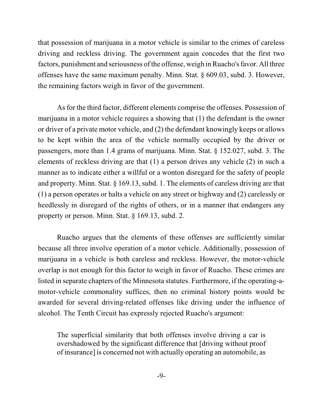that possession of marijuana in a motor vehicle is similar to the crimes of careless driving and reckless driving. The government again concedes that the first two factors, punishment and seriousness of the offense, weigh in Ruacho's favor. All three offenses have the same maximum penalty. Minn. Stat. § 609.03, subd. 3. However, the remaining factors weigh in favor of the government.

As for the third factor, different elements comprise the offenses. Possession of marijuana in a motor vehicle requires a showing that (1) the defendant is the owner or driver of a private motor vehicle, and (2) the defendant knowingly keeps or allows to be kept within the area of the vehicle normally occupied by the driver or passengers, more than 1.4 grams of marijuana. Minn. Stat. § 152.027, subd. 3. The elements of reckless driving are that (1) a person drives any vehicle (2) in such a manner as to indicate either a willful or a wonton disregard for the safety of people and property. Minn. Stat. § 169.13, subd. 1. The elements of careless driving are that (1) a person operates or halts a vehicle on any street or highway and (2) carelessly or heedlessly in disregard of the rights of others, or in a manner that endangers any property or person. Minn. Stat. § 169.13, subd. 2.

Ruacho argues that the elements of these offenses are sufficiently similar because all three involve operation of a motor vehicle. Additionally, possession of marijuana in a vehicle is both careless and reckless. However, the motor-vehicle overlap is not enough for this factor to weigh in favor of Ruacho. These crimes are listed in separate chapters of the Minnesota statutes. Furthermore, if the operating-amotor-vehicle commonality suffices, then no criminal history points would be awarded for several driving-related offenses like driving under the influence of alcohol. The Tenth Circuit has expressly rejected Ruacho's argument:

The superficial similarity that both offenses involve driving a car is overshadowed by the significant difference that [driving without proof of insurance] is concerned not with actually operating an automobile, as